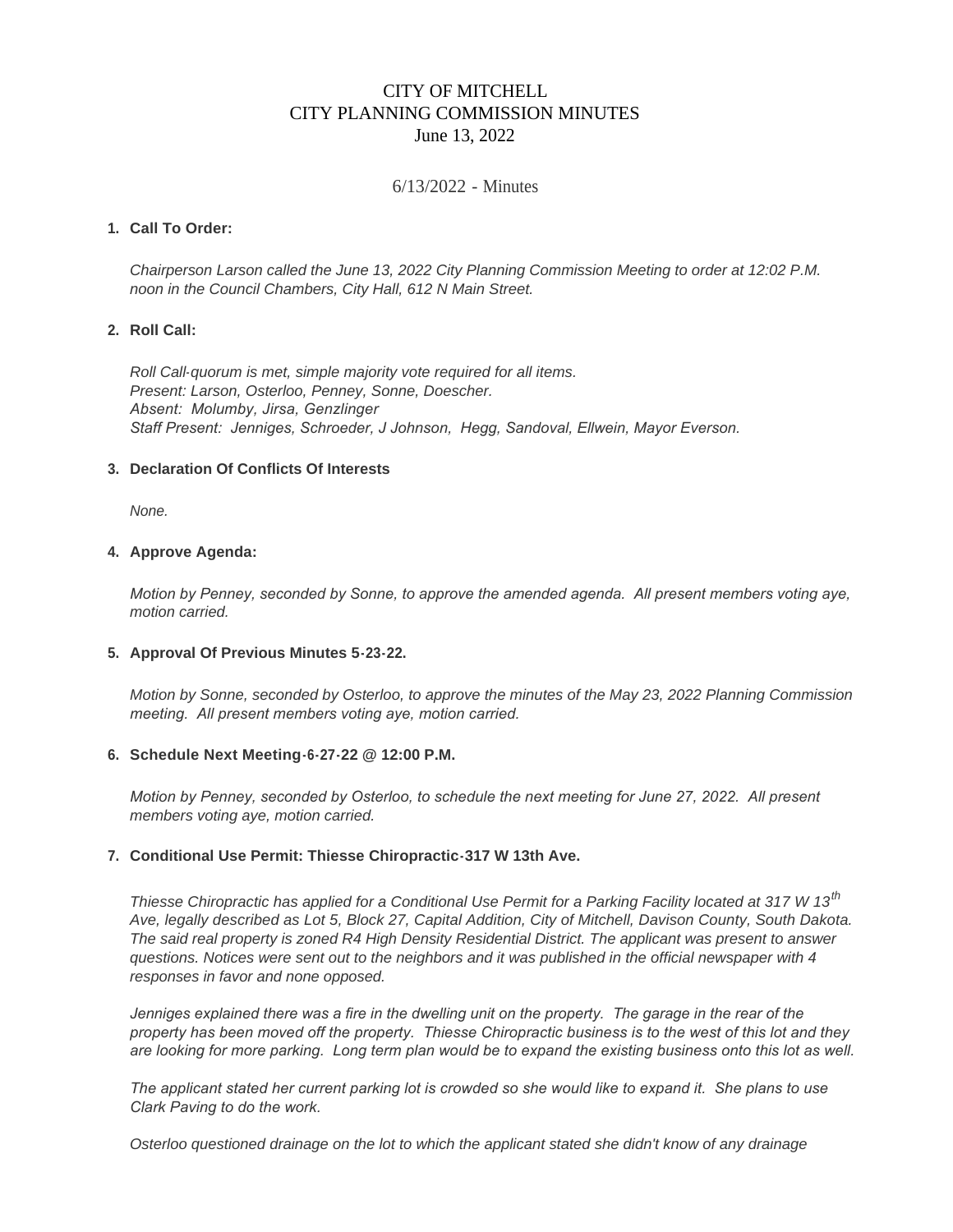# CITY OF MITCHELL CITY PLANNING COMMISSION MINUTES June 13, 2022

# 6/13/2022 - Minutes

# **Call To Order: 1.**

*Chairperson Larson called the June 13, 2022 City Planning Commission Meeting to order at 12:02 P.M. noon in the Council Chambers, City Hall, 612 N Main Street.*

## **Roll Call: 2.**

*Roll Call-quorum is met, simple majority vote required for all items. Present: Larson, Osterloo, Penney, Sonne, Doescher. Absent: Molumby, Jirsa, Genzlinger Staff Present: Jenniges, Schroeder, J Johnson, Hegg, Sandoval, Ellwein, Mayor Everson.*

#### **Declaration Of Conflicts Of Interests 3.**

*None.*

#### **Approve Agenda: 4.**

*Motion by Penney, seconded by Sonne, to approve the amended agenda. All present members voting aye, motion carried.*

# **Approval Of Previous Minutes 5-23-22. 5.**

*Motion by Sonne, seconded by Osterloo, to approve the minutes of the May 23, 2022 Planning Commission meeting. All present members voting aye, motion carried.*

#### **Schedule Next Meeting-6-27-22 @ 12:00 P.M. 6.**

*Motion by Penney, seconded by Osterloo, to schedule the next meeting for June 27, 2022. All present members voting aye, motion carried.*

## **Conditional Use Permit: Thiesse Chiropractic-317 W 13th Ave. 7.**

*Thiesse Chiropractic has applied for a Conditional Use Permit for a Parking Facility located at 317 W 13th Ave, legally described as Lot 5, Block 27, Capital Addition, City of Mitchell, Davison County, South Dakota. The said real property is zoned R4 High Density Residential District. The applicant was present to answer questions. Notices were sent out to the neighbors and it was published in the official newspaper with 4 responses in favor and none opposed.*

*Jenniges explained there was a fire in the dwelling unit on the property. The garage in the rear of the property has been moved off the property. Thiesse Chiropractic business is to the west of this lot and they are looking for more parking. Long term plan would be to expand the existing business onto this lot as well.*

*The applicant stated her current parking lot is crowded so she would like to expand it. She plans to use Clark Paving to do the work.* 

*Osterloo questioned drainage on the lot to which the applicant stated she didn't know of any drainage*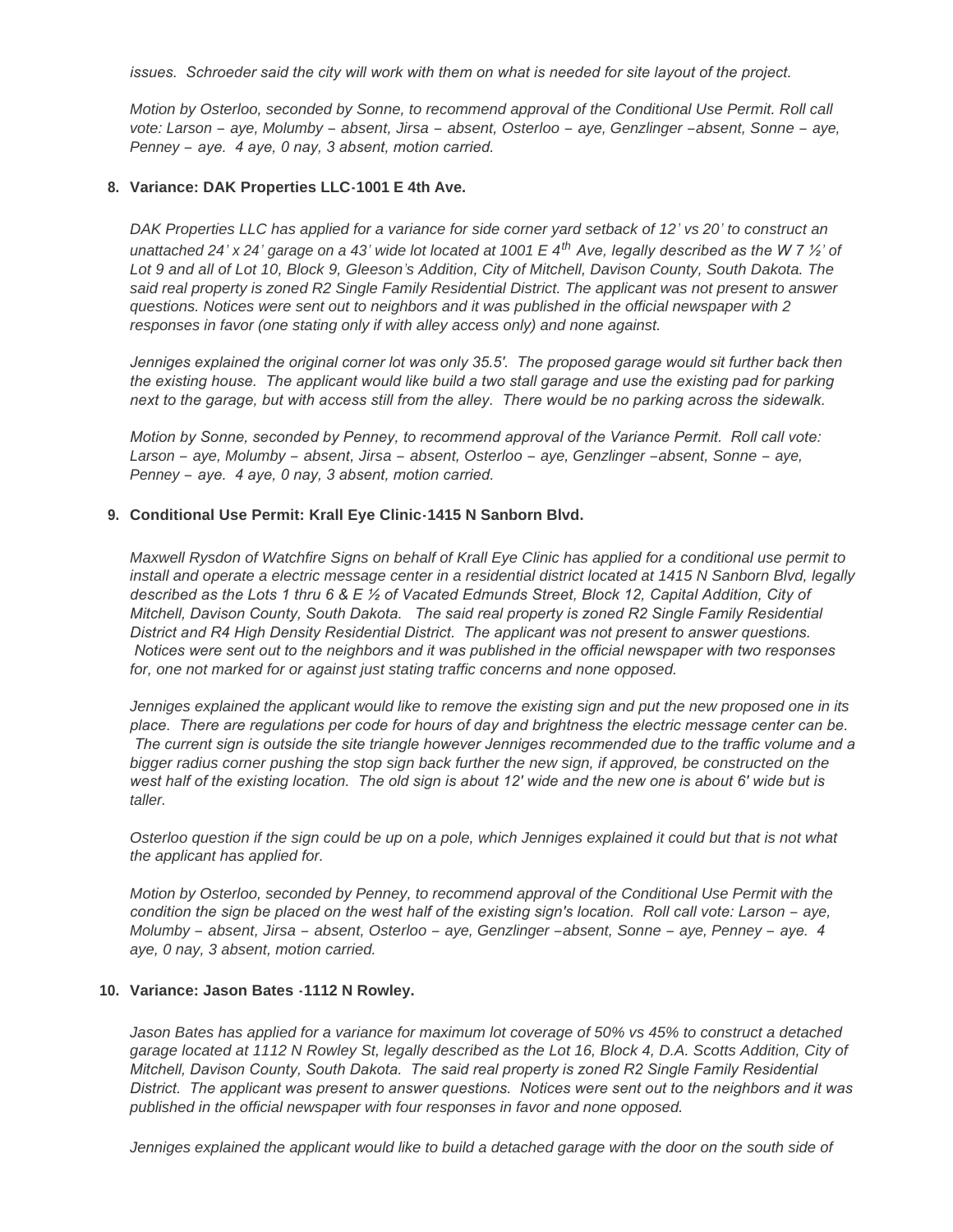*issues. Schroeder said the city will work with them on what is needed for site layout of the project.*

*Motion by Osterloo, seconded by Sonne, to recommend approval of the Conditional Use Permit. Roll call vote: Larson – aye, Molumby – absent, Jirsa – absent, Osterloo – aye, Genzlinger –absent, Sonne – aye, Penney – aye. 4 aye, 0 nay, 3 absent, motion carried.*

## **Variance: DAK Properties LLC-1001 E 4th Ave. 8.**

*DAK Properties LLC has applied for a variance for side corner yard setback of 12' vs 20' to construct an unattached 24' x 24' garage on a 43' wide lot located at 1001 E 4th Ave, legally described as the W 7 ½' of Lot 9 and all of Lot 10, Block 9, Gleeson's Addition, City of Mitchell, Davison County, South Dakota. The said real property is zoned R2 Single Family Residential District. The applicant was not present to answer questions. Notices were sent out to neighbors and it was published in the official newspaper with 2 responses in favor (one stating only if with alley access only) and none against.*

*Jenniges explained the original corner lot was only 35.5'. The proposed garage would sit further back then the existing house. The applicant would like build a two stall garage and use the existing pad for parking next to the garage, but with access still from the alley. There would be no parking across the sidewalk.*

*Motion by Sonne, seconded by Penney, to recommend approval of the Variance Permit. Roll call vote: Larson – aye, Molumby – absent, Jirsa – absent, Osterloo – aye, Genzlinger –absent, Sonne – aye, Penney – aye. 4 aye, 0 nay, 3 absent, motion carried.*

## **Conditional Use Permit: Krall Eye Clinic-1415 N Sanborn Blvd. 9.**

*Maxwell Rysdon of Watchfire Signs on behalf of Krall Eye Clinic has applied for a conditional use permit to install and operate a electric message center in a residential district located at 1415 N Sanborn Blvd, legally described as the Lots 1 thru 6 & E ½ of Vacated Edmunds Street, Block 12, Capital Addition, City of Mitchell, Davison County, South Dakota. The said real property is zoned R2 Single Family Residential District and R4 High Density Residential District. The applicant was not present to answer questions. Notices were sent out to the neighbors and it was published in the official newspaper with two responses for, one not marked for or against just stating traffic concerns and none opposed.*

*Jenniges explained the applicant would like to remove the existing sign and put the new proposed one in its place. There are regulations per code for hours of day and brightness the electric message center can be. The current sign is outside the site triangle however Jenniges recommended due to the traffic volume and a bigger radius corner pushing the stop sign back further the new sign, if approved, be constructed on the west half of the existing location. The old sign is about 12' wide and the new one is about 6' wide but is taller.*

*Osterloo question if the sign could be up on a pole, which Jenniges explained it could but that is not what the applicant has applied for.*

*Motion by Osterloo, seconded by Penney, to recommend approval of the Conditional Use Permit with the condition the sign be placed on the west half of the existing sign's location. Roll call vote: Larson – aye, Molumby – absent, Jirsa – absent, Osterloo – aye, Genzlinger –absent, Sonne – aye, Penney – aye. 4 aye, 0 nay, 3 absent, motion carried.*

#### **Variance: Jason Bates -1112 N Rowley. 10.**

*Jason Bates has applied for a variance for maximum lot coverage of 50% vs 45% to construct a detached garage located at 1112 N Rowley St, legally described as the Lot 16, Block 4, D.A. Scotts Addition, City of Mitchell, Davison County, South Dakota. The said real property is zoned R2 Single Family Residential District. The applicant was present to answer questions. Notices were sent out to the neighbors and it was published in the official newspaper with four responses in favor and none opposed.*

Jenniges explained the applicant would like to build a detached garage with the door on the south side of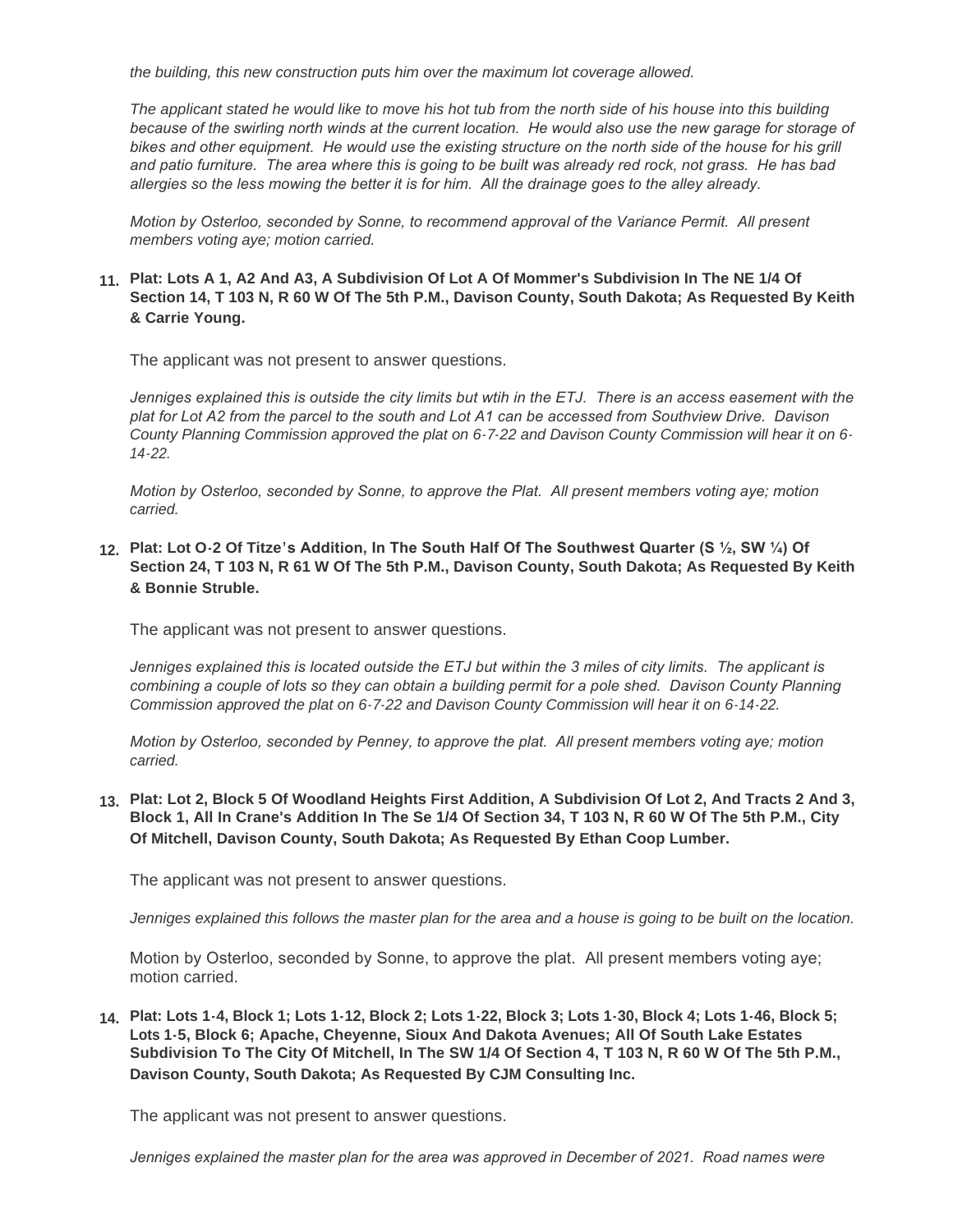*the building, this new construction puts him over the maximum lot coverage allowed.*

*The applicant stated he would like to move his hot tub from the north side of his house into this building*  because of the swirling north winds at the current location. He would also use the new garage for storage of bikes and other equipment. He would use the existing structure on the north side of the house for his grill *and patio furniture. The area where this is going to be built was already red rock, not grass. He has bad allergies so the less mowing the better it is for him. All the drainage goes to the alley already.*

*Motion by Osterloo, seconded by Sonne, to recommend approval of the Variance Permit. All present members voting aye; motion carried.*

# **Plat: Lots A 1, A2 And A3, A Subdivision Of Lot A Of Mommer's Subdivision In The NE 1/4 Of 11. Section 14, T 103 N, R 60 W Of The 5th P.M., Davison County, South Dakota; As Requested By Keith & Carrie Young.**

The applicant was not present to answer questions.

*Jenniges explained this is outside the city limits but wtih in the ETJ. There is an access easement with the plat for Lot A2 from the parcel to the south and Lot A1 can be accessed from Southview Drive. Davison County Planning Commission approved the plat on 6-7-22 and Davison County Commission will hear it on 6- 14-22.*

*Motion by Osterloo, seconded by Sonne, to approve the Plat. All present members voting aye; motion carried.*

**Plat: Lot O-2 Of Titze's Addition, In The South Half Of The Southwest Quarter (S ½, SW ¼) Of 12. Section 24, T 103 N, R 61 W Of The 5th P.M., Davison County, South Dakota; As Requested By Keith & Bonnie Struble.**

The applicant was not present to answer questions.

*Jenniges explained this is located outside the ETJ but within the 3 miles of city limits. The applicant is combining a couple of lots so they can obtain a building permit for a pole shed. Davison County Planning Commission approved the plat on 6-7-22 and Davison County Commission will hear it on 6-14-22.*

*Motion by Osterloo, seconded by Penney, to approve the plat. All present members voting aye; motion carried.*

**Plat: Lot 2, Block 5 Of Woodland Heights First Addition, A Subdivision Of Lot 2, And Tracts 2 And 3, 13. Block 1, All In Crane's Addition In The Se 1/4 Of Section 34, T 103 N, R 60 W Of The 5th P.M., City Of Mitchell, Davison County, South Dakota; As Requested By Ethan Coop Lumber.**

The applicant was not present to answer questions.

*Jenniges explained this follows the master plan for the area and a house is going to be built on the location.*

Motion by Osterloo, seconded by Sonne, to approve the plat. All present members voting aye; motion carried.

**Plat: Lots 1-4, Block 1; Lots 1-12, Block 2; Lots 1-22, Block 3; Lots 1-30, Block 4; Lots 1-46, Block 5; 14. Lots 1-5, Block 6; Apache, Cheyenne, Sioux And Dakota Avenues; All Of South Lake Estates Subdivision To The City Of Mitchell, In The SW 1/4 Of Section 4, T 103 N, R 60 W Of The 5th P.M., Davison County, South Dakota; As Requested By CJM Consulting Inc.**

The applicant was not present to answer questions.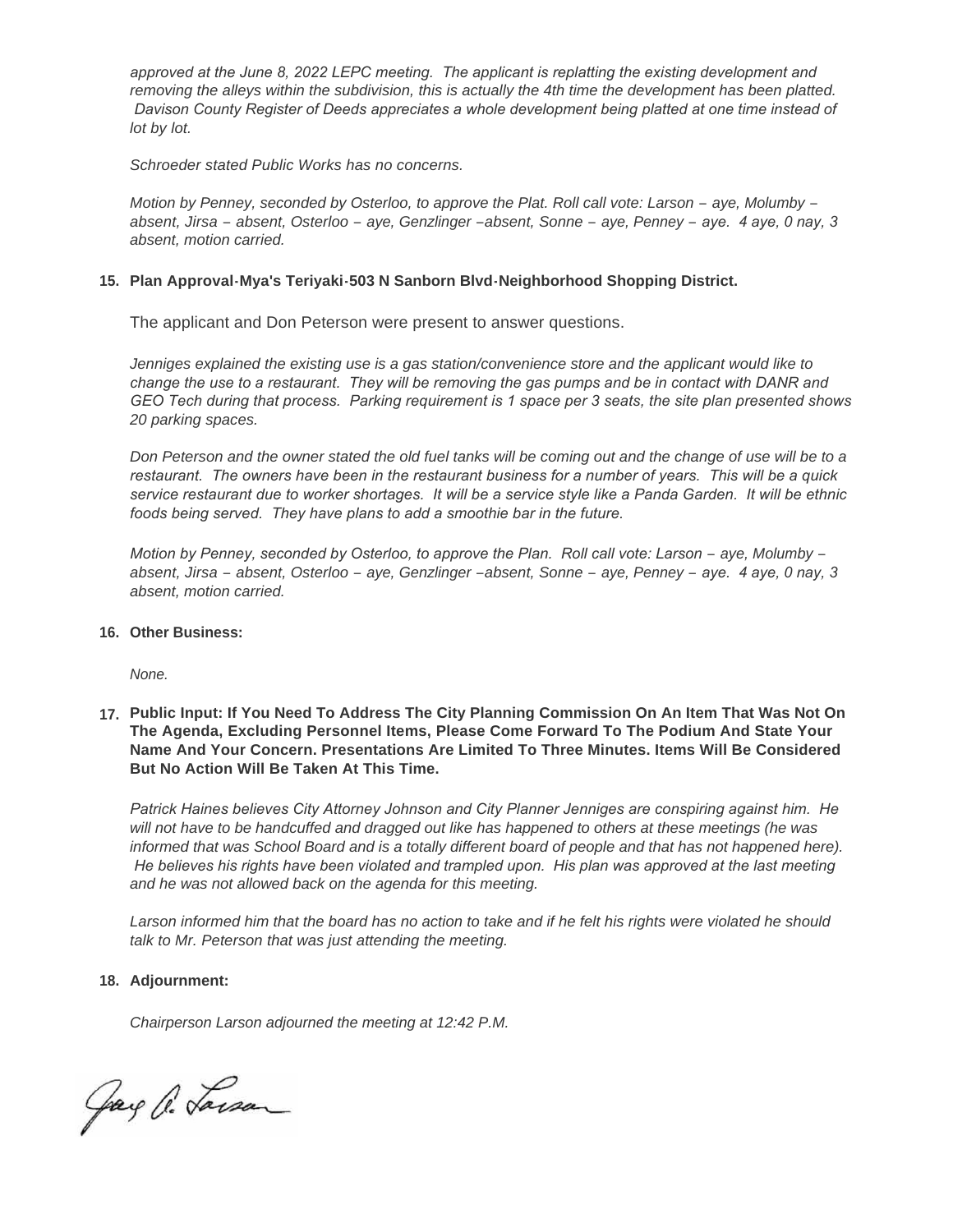*approved at the June 8, 2022 LEPC meeting. The applicant is replatting the existing development and removing the alleys within the subdivision, this is actually the 4th time the development has been platted. Davison County Register of Deeds appreciates a whole development being platted at one time instead of lot by lot.*

*Schroeder stated Public Works has no concerns.*

*Motion by Penney, seconded by Osterloo, to approve the Plat. Roll call vote: Larson - aye, Molumby absent, Jirsa – absent, Osterloo – aye, Genzlinger –absent, Sonne – aye, Penney – aye. 4 aye, 0 nay, 3 absent, motion carried.*

# **Plan Approval-Mya's Teriyaki-503 N Sanborn Blvd-Neighborhood Shopping District. 15.**

The applicant and Don Peterson were present to answer questions.

*Jenniges explained the existing use is a gas station/convenience store and the applicant would like to change the use to a restaurant. They will be removing the gas pumps and be in contact with DANR and GEO Tech during that process. Parking requirement is 1 space per 3 seats, the site plan presented shows 20 parking spaces.*

*Don Peterson and the owner stated the old fuel tanks will be coming out and the change of use will be to a restaurant. The owners have been in the restaurant business for a number of years. This will be a quick service restaurant due to worker shortages. It will be a service style like a Panda Garden. It will be ethnic foods being served. They have plans to add a smoothie bar in the future.*

*Motion by Penney, seconded by Osterloo, to approve the Plan. Roll call vote: Larson – aye, Molumby – absent, Jirsa – absent, Osterloo – aye, Genzlinger –absent, Sonne – aye, Penney – aye. 4 aye, 0 nay, 3 absent, motion carried.*

## **Other Business: 16.**

*None.*

## **Public Input: If You Need To Address The City Planning Commission On An Item That Was Not On 17. The Agenda, Excluding Personnel Items, Please Come Forward To The Podium And State Your Name And Your Concern. Presentations Are Limited To Three Minutes. Items Will Be Considered But No Action Will Be Taken At This Time.**

*Patrick Haines believes City Attorney Johnson and City Planner Jenniges are conspiring against him. He will not have to be handcuffed and dragged out like has happened to others at these meetings (he was informed that was School Board and is a totally different board of people and that has not happened here). He believes his rights have been violated and trampled upon. His plan was approved at the last meeting and he was not allowed back on the agenda for this meeting.*

*Larson informed him that the board has no action to take and if he felt his rights were violated he should talk to Mr. Peterson that was just attending the meeting.*

## **Adjournment: 18.**

*Chairperson Larson adjourned the meeting at 12:42 P.M.*

Gay C. Lorson